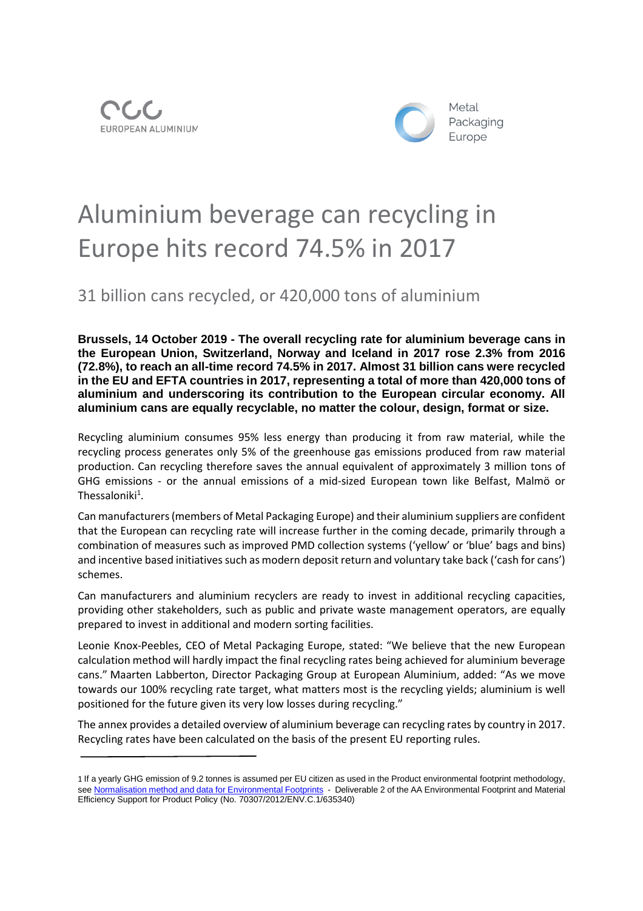



## Aluminium beverage can recycling in Europe hits record 74.5% in 2017

31 billion cans recycled, or 420,000 tons of aluminium

**Brussels, 14 October 2019 - The overall recycling rate for aluminium beverage cans in the European Union, Switzerland, Norway and Iceland in 2017 rose 2.3% from 2016 (72.8%), to reach an all-time record 74.5% in 2017. Almost 31 billion cans were recycled in the EU and EFTA countries in 2017, representing a total of more than 420,000 tons of aluminium and underscoring its contribution to the European circular economy. All aluminium cans are equally recyclable, no matter the colour, design, format or size.**

Recycling aluminium consumes 95% less energy than producing it from raw material, while the recycling process generates only 5% of the greenhouse gas emissions produced from raw material production. Can recycling therefore saves the annual equivalent of approximately 3 million tons of GHG emissions - or the annual emissions of a mid-sized European town like Belfast, Malmö or Thessaloniki $^1$ .

Can manufacturers(members of Metal Packaging Europe) and their aluminium suppliers are confident that the European can recycling rate will increase further in the coming decade, primarily through a combination of measures such as improved PMD collection systems ('yellow' or 'blue' bags and bins) and incentive based initiatives such as modern deposit return and voluntary take back ('cash for cans') schemes.

Can manufacturers and aluminium recyclers are ready to invest in additional recycling capacities, providing other stakeholders, such as public and private waste management operators, are equally prepared to invest in additional and modern sorting facilities.

Leonie Knox-Peebles, CEO of Metal Packaging Europe, stated: "We believe that the new European calculation method will hardly impact the final recycling rates being achieved for aluminium beverage cans." Maarten Labberton, Director Packaging Group at European Aluminium, added: "As we move towards our 100% recycling rate target, what matters most is the recycling yields; aluminium is well positioned for the future given its very low losses during recycling."

The annex provides a detailed overview of aluminium beverage can recycling rates by country in 2017. Recycling rates have been calculated on the basis of the present EU reporting rules.

<sup>1</sup> If a yearly GHG emission of 9.2 tonnes is assumed per EU citizen as used in the Product environmental footprint methodology, see Normalisation method and data for Environmental Footprints - Deliverable 2 of the AA Environmental Footprint and Material Efficiency Support for Product Policy (No. 70307/2012/ENV.C.1/635340)